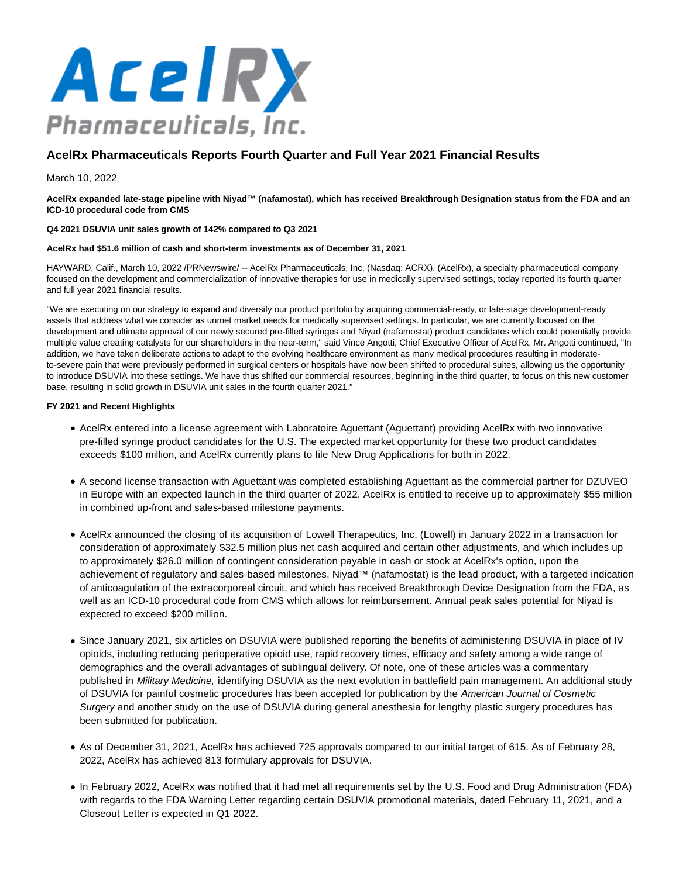

# **AcelRx Pharmaceuticals Reports Fourth Quarter and Full Year 2021 Financial Results**

March 10, 2022

**AcelRx expanded late-stage pipeline with Niyad™ (nafamostat), which has received Breakthrough Designation status from the FDA and an ICD-10 procedural code from CMS**

## **Q4 2021 DSUVIA unit sales growth of 142% compared to Q3 2021**

## **AcelRx had \$51.6 million of cash and short-term investments as of December 31, 2021**

HAYWARD, Calif., March 10, 2022 /PRNewswire/ -- AcelRx Pharmaceuticals, Inc. (Nasdaq: ACRX), (AcelRx), a specialty pharmaceutical company focused on the development and commercialization of innovative therapies for use in medically supervised settings, today reported its fourth quarter and full year 2021 financial results.

"We are executing on our strategy to expand and diversify our product portfolio by acquiring commercial-ready, or late-stage development-ready assets that address what we consider as unmet market needs for medically supervised settings. In particular, we are currently focused on the development and ultimate approval of our newly secured pre-filled syringes and Niyad (nafamostat) product candidates which could potentially provide multiple value creating catalysts for our shareholders in the near-term," said Vince Angotti, Chief Executive Officer of AcelRx. Mr. Angotti continued, "In addition, we have taken deliberate actions to adapt to the evolving healthcare environment as many medical procedures resulting in moderateto-severe pain that were previously performed in surgical centers or hospitals have now been shifted to procedural suites, allowing us the opportunity to introduce DSUVIA into these settings. We have thus shifted our commercial resources, beginning in the third quarter, to focus on this new customer base, resulting in solid growth in DSUVIA unit sales in the fourth quarter 2021."

## **FY 2021 and Recent Highlights**

- AcelRx entered into a license agreement with Laboratoire Aguettant (Aguettant) providing AcelRx with two innovative pre-filled syringe product candidates for the U.S. The expected market opportunity for these two product candidates exceeds \$100 million, and AcelRx currently plans to file New Drug Applications for both in 2022.
- A second license transaction with Aguettant was completed establishing Aguettant as the commercial partner for DZUVEO in Europe with an expected launch in the third quarter of 2022. AcelRx is entitled to receive up to approximately \$55 million in combined up-front and sales-based milestone payments.
- AcelRx announced the closing of its acquisition of Lowell Therapeutics, Inc. (Lowell) in January 2022 in a transaction for consideration of approximately \$32.5 million plus net cash acquired and certain other adjustments, and which includes up to approximately \$26.0 million of contingent consideration payable in cash or stock at AcelRx's option, upon the achievement of regulatory and sales-based milestones. Niyad™ (nafamostat) is the lead product, with a targeted indication of anticoagulation of the extracorporeal circuit, and which has received Breakthrough Device Designation from the FDA, as well as an ICD-10 procedural code from CMS which allows for reimbursement. Annual peak sales potential for Niyad is expected to exceed \$200 million.
- Since January 2021, six articles on DSUVIA were published reporting the benefits of administering DSUVIA in place of IV opioids, including reducing perioperative opioid use, rapid recovery times, efficacy and safety among a wide range of demographics and the overall advantages of sublingual delivery. Of note, one of these articles was a commentary published in Military Medicine, identifying DSUVIA as the next evolution in battlefield pain management. An additional study of DSUVIA for painful cosmetic procedures has been accepted for publication by the American Journal of Cosmetic Surgery and another study on the use of DSUVIA during general anesthesia for lengthy plastic surgery procedures has been submitted for publication.
- As of December 31, 2021, AcelRx has achieved 725 approvals compared to our initial target of 615. As of February 28, 2022, AcelRx has achieved 813 formulary approvals for DSUVIA.
- In February 2022, AcelRx was notified that it had met all requirements set by the U.S. Food and Drug Administration (FDA) with regards to the FDA Warning Letter regarding certain DSUVIA promotional materials, dated February 11, 2021, and a Closeout Letter is expected in Q1 2022.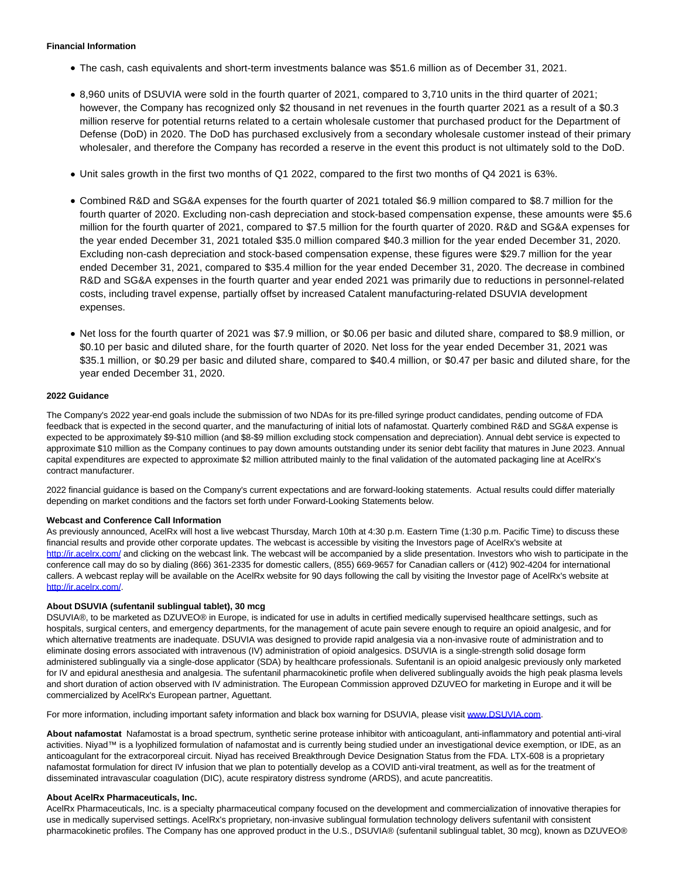## **Financial Information**

- The cash, cash equivalents and short-term investments balance was \$51.6 million as of December 31, 2021.
- 8,960 units of DSUVIA were sold in the fourth quarter of 2021, compared to 3,710 units in the third quarter of 2021; however, the Company has recognized only \$2 thousand in net revenues in the fourth quarter 2021 as a result of a \$0.3 million reserve for potential returns related to a certain wholesale customer that purchased product for the Department of Defense (DoD) in 2020. The DoD has purchased exclusively from a secondary wholesale customer instead of their primary wholesaler, and therefore the Company has recorded a reserve in the event this product is not ultimately sold to the DoD.
- Unit sales growth in the first two months of Q1 2022, compared to the first two months of Q4 2021 is 63%.
- Combined R&D and SG&A expenses for the fourth quarter of 2021 totaled \$6.9 million compared to \$8.7 million for the fourth quarter of 2020. Excluding non-cash depreciation and stock-based compensation expense, these amounts were \$5.6 million for the fourth quarter of 2021, compared to \$7.5 million for the fourth quarter of 2020. R&D and SG&A expenses for the year ended December 31, 2021 totaled \$35.0 million compared \$40.3 million for the year ended December 31, 2020. Excluding non-cash depreciation and stock-based compensation expense, these figures were \$29.7 million for the year ended December 31, 2021, compared to \$35.4 million for the year ended December 31, 2020. The decrease in combined R&D and SG&A expenses in the fourth quarter and year ended 2021 was primarily due to reductions in personnel-related costs, including travel expense, partially offset by increased Catalent manufacturing-related DSUVIA development expenses.
- Net loss for the fourth quarter of 2021 was \$7.9 million, or \$0.06 per basic and diluted share, compared to \$8.9 million, or \$0.10 per basic and diluted share, for the fourth quarter of 2020. Net loss for the year ended December 31, 2021 was \$35.1 million, or \$0.29 per basic and diluted share, compared to \$40.4 million, or \$0.47 per basic and diluted share, for the year ended December 31, 2020.

## **2022 Guidance**

The Company's 2022 year-end goals include the submission of two NDAs for its pre-filled syringe product candidates, pending outcome of FDA feedback that is expected in the second quarter, and the manufacturing of initial lots of nafamostat. Quarterly combined R&D and SG&A expense is expected to be approximately \$9-\$10 million (and \$8-\$9 million excluding stock compensation and depreciation). Annual debt service is expected to approximate \$10 million as the Company continues to pay down amounts outstanding under its senior debt facility that matures in June 2023. Annual capital expenditures are expected to approximate \$2 million attributed mainly to the final validation of the automated packaging line at AcelRx's contract manufacturer.

2022 financial guidance is based on the Company's current expectations and are forward-looking statements. Actual results could differ materially depending on market conditions and the factors set forth under Forward-Looking Statements below.

#### **Webcast and Conference Call Information**

As previously announced, AcelRx will host a live webcast Thursday, March 10th at 4:30 p.m. Eastern Time (1:30 p.m. Pacific Time) to discuss these financial results and provide other corporate updates. The webcast is accessible by visiting the Investors page of AcelRx's website at [http://ir.acelrx.com/ a](https://c212.net/c/link/?t=0&l=en&o=3468975-1&h=1613897258&u=https%3A%2F%2Fprotect-us.mimecast.com%2Fs%2FFscGC82B6WSkYQt1mNYF%3Fdomain%3Durldefense.com&a=http%3A%2F%2Fir.acelrx.com%2F)nd clicking on the webcast link. The webcast will be accompanied by a slide presentation. Investors who wish to participate in the conference call may do so by dialing (866) 361-2335 for domestic callers, (855) 669-9657 for Canadian callers or (412) 902-4204 for international callers. A webcast replay will be available on the AcelRx website for 90 days following the call by visiting the Investor page of AcelRx's website at [http://ir.acelrx.com/.](https://c212.net/c/link/?t=0&l=en&o=3468975-1&h=1613897258&u=https%3A%2F%2Fprotect-us.mimecast.com%2Fs%2FFscGC82B6WSkYQt1mNYF%3Fdomain%3Durldefense.com&a=http%3A%2F%2Fir.acelrx.com%2F)

#### **About DSUVIA (sufentanil sublingual tablet), 30 mcg**

DSUVIA®, to be marketed as DZUVEO® in Europe, is indicated for use in adults in certified medically supervised healthcare settings, such as hospitals, surgical centers, and emergency departments, for the management of acute pain severe enough to require an opioid analgesic, and for which alternative treatments are inadequate. DSUVIA was designed to provide rapid analgesia via a non-invasive route of administration and to eliminate dosing errors associated with intravenous (IV) administration of opioid analgesics. DSUVIA is a single-strength solid dosage form administered sublingually via a single-dose applicator (SDA) by healthcare professionals. Sufentanil is an opioid analgesic previously only marketed for IV and epidural anesthesia and analgesia. The sufentanil pharmacokinetic profile when delivered sublingually avoids the high peak plasma levels and short duration of action observed with IV administration. The European Commission approved DZUVEO for marketing in Europe and it will be commercialized by AcelRx's European partner, Aguettant.

For more information, including important safety information and black box warning for DSUVIA, please visit [www.DSUVIA.com.](https://c212.net/c/link/?t=0&l=en&o=3468975-1&h=119370494&u=http%3A%2F%2Fwww.dsuvia.com%2F&a=www.DSUVIA.com)

**About nafamostat** Nafamostat is a broad spectrum, synthetic serine protease inhibitor with anticoagulant, anti-inflammatory and potential anti-viral activities. Niyad™ is a lyophilized formulation of nafamostat and is currently being studied under an investigational device exemption, or IDE, as an anticoagulant for the extracorporeal circuit. Niyad has received Breakthrough Device Designation Status from the FDA. LTX-608 is a proprietary nafamostat formulation for direct IV infusion that we plan to potentially develop as a COVID anti-viral treatment, as well as for the treatment of disseminated intravascular coagulation (DIC), acute respiratory distress syndrome (ARDS), and acute pancreatitis.

#### **About AcelRx Pharmaceuticals, Inc.**

AcelRx Pharmaceuticals, Inc. is a specialty pharmaceutical company focused on the development and commercialization of innovative therapies for use in medically supervised settings. AcelRx's proprietary, non-invasive sublingual formulation technology delivers sufentanil with consistent pharmacokinetic profiles. The Company has one approved product in the U.S., DSUVIA® (sufentanil sublingual tablet, 30 mcg), known as DZUVEO®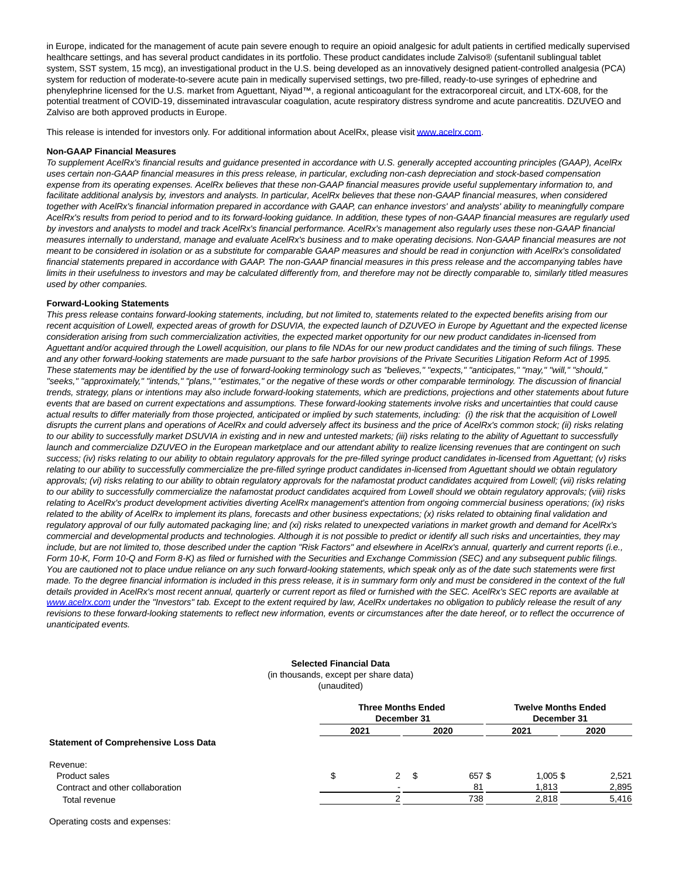in Europe, indicated for the management of acute pain severe enough to require an opioid analgesic for adult patients in certified medically supervised healthcare settings, and has several product candidates in its portfolio. These product candidates include Zalviso® (sufentanil sublingual tablet system, SST system, 15 mcg), an investigational product in the U.S. being developed as an innovatively designed patient-controlled analgesia (PCA) system for reduction of moderate-to-severe acute pain in medically supervised settings, two pre-filled, ready-to-use syringes of ephedrine and phenylephrine licensed for the U.S. market from Aguettant, Niyad™, a regional anticoagulant for the extracorporeal circuit, and LTX-608, for the potential treatment of COVID-19, disseminated intravascular coagulation, acute respiratory distress syndrome and acute pancreatitis. DZUVEO and Zalviso are both approved products in Europe.

This release is intended for investors only. For additional information about AcelRx, please visi[t www.acelrx.com.](https://c212.net/c/link/?t=0&l=en&o=3468975-1&h=2390246728&u=http%3A%2F%2Fwww.acelrx.com%2F&a=www.acelrx.com)

#### **Non-GAAP Financial Measures**

To supplement AcelRx's financial results and guidance presented in accordance with U.S. generally accepted accounting principles (GAAP), AcelRx uses certain non-GAAP financial measures in this press release, in particular, excluding non-cash depreciation and stock-based compensation expense from its operating expenses. AcelRx believes that these non-GAAP financial measures provide useful supplementary information to, and facilitate additional analysis by, investors and analysts. In particular, AcelRx believes that these non-GAAP financial measures, when considered together with AcelRx's financial information prepared in accordance with GAAP, can enhance investors' and analysts' ability to meaningfully compare AcelRx's results from period to period and to its forward-looking guidance. In addition, these types of non-GAAP financial measures are regularly used by investors and analysts to model and track AcelRx's financial performance. AcelRx's management also regularly uses these non-GAAP financial measures internally to understand, manage and evaluate AcelRx's business and to make operating decisions. Non-GAAP financial measures are not meant to be considered in isolation or as a substitute for comparable GAAP measures and should be read in conjunction with AcelRx's consolidated financial statements prepared in accordance with GAAP. The non-GAAP financial measures in this press release and the accompanying tables have limits in their usefulness to investors and may be calculated differently from, and therefore may not be directly comparable to, similarly titled measures used by other companies.

#### **Forward-Looking Statements**

This press release contains forward-looking statements, including, but not limited to, statements related to the expected benefits arising from our recent acquisition of Lowell, expected areas of growth for DSUVIA, the expected launch of DZUVEO in Europe by Aguettant and the expected license consideration arising from such commercialization activities, the expected market opportunity for our new product candidates in-licensed from Aguettant and/or acquired through the Lowell acquisition, our plans to file NDAs for our new product candidates and the timing of such filings. These and any other forward-looking statements are made pursuant to the safe harbor provisions of the Private Securities Litigation Reform Act of 1995. These statements may be identified by the use of forward-looking terminology such as "believes," "expects," "anticipates," "may," "will," "should," "seeks," "approximately," "intends," "plans," "estimates," or the negative of these words or other comparable terminology. The discussion of financial trends, strategy, plans or intentions may also include forward-looking statements, which are predictions, projections and other statements about future events that are based on current expectations and assumptions. These forward-looking statements involve risks and uncertainties that could cause actual results to differ materially from those projected, anticipated or implied by such statements, including: (i) the risk that the acquisition of Lowell disrupts the current plans and operations of AcelRx and could adversely affect its business and the price of AcelRx's common stock; (ii) risks relating to our ability to successfully market DSUVIA in existing and in new and untested markets; (iii) risks relating to the ability of Aguettant to successfully launch and commercialize DZUVEO in the European marketplace and our attendant ability to realize licensing revenues that are contingent on such success; (iv) risks relating to our ability to obtain regulatory approvals for the pre-filled syringe product candidates in-licensed from Aguettant; (v) risks relating to our ability to successfully commercialize the pre-filled syringe product candidates in-licensed from Aguettant should we obtain regulatory approvals; (vi) risks relating to our ability to obtain regulatory approvals for the nafamostat product candidates acquired from Lowell; (vii) risks relating to our ability to successfully commercialize the nafamostat product candidates acquired from Lowell should we obtain regulatory approvals; (viii) risks relating to AcelRx's product development activities diverting AcelRx management's attention from ongoing commercial business operations; (ix) risks related to the ability of AcelRx to implement its plans, forecasts and other business expectations; (x) risks related to obtaining final validation and regulatory approval of our fully automated packaging line; and (xi) risks related to unexpected variations in market growth and demand for AcelRx's commercial and developmental products and technologies. Although it is not possible to predict or identify all such risks and uncertainties, they may include, but are not limited to, those described under the caption "Risk Factors" and elsewhere in AcelRx's annual, quarterly and current reports (i.e., Form 10-K, Form 10-Q and Form 8-K) as filed or furnished with the Securities and Exchange Commission (SEC) and any subsequent public filings. You are cautioned not to place undue reliance on any such forward-looking statements, which speak only as of the date such statements were first made. To the degree financial information is included in this press release, it is in summary form only and must be considered in the context of the full details provided in AcelRx's most recent annual, quarterly or current report as filed or furnished with the SEC. AcelRx's SEC reports are available at [www.acelrx.com u](http://www.acelrx.com/)nder the "Investors" tab. Except to the extent required by law, AcelRx undertakes no obligation to publicly release the result of any revisions to these forward-looking statements to reflect new information, events or circumstances after the date hereof, or to reflect the occurrence of unanticipated events.

## **Selected Financial Data**

(in thousands, except per share data) (unaudited)

|    |      | <b>Twelve Months Ended</b><br>December 31 |                                          |       |
|----|------|-------------------------------------------|------------------------------------------|-------|
|    |      | 2020                                      | 2021                                     | 2020  |
|    |      |                                           |                                          |       |
|    |      |                                           |                                          |       |
| \$ | - \$ | 657\$                                     | $1.005$ \$                               | 2,521 |
|    |      | 81                                        | 1,813                                    | 2,895 |
| ◠  |      | 738                                       | 2,818                                    | 5,416 |
|    | 2021 | 2                                         | <b>Three Months Ended</b><br>December 31 |       |

Operating costs and expenses: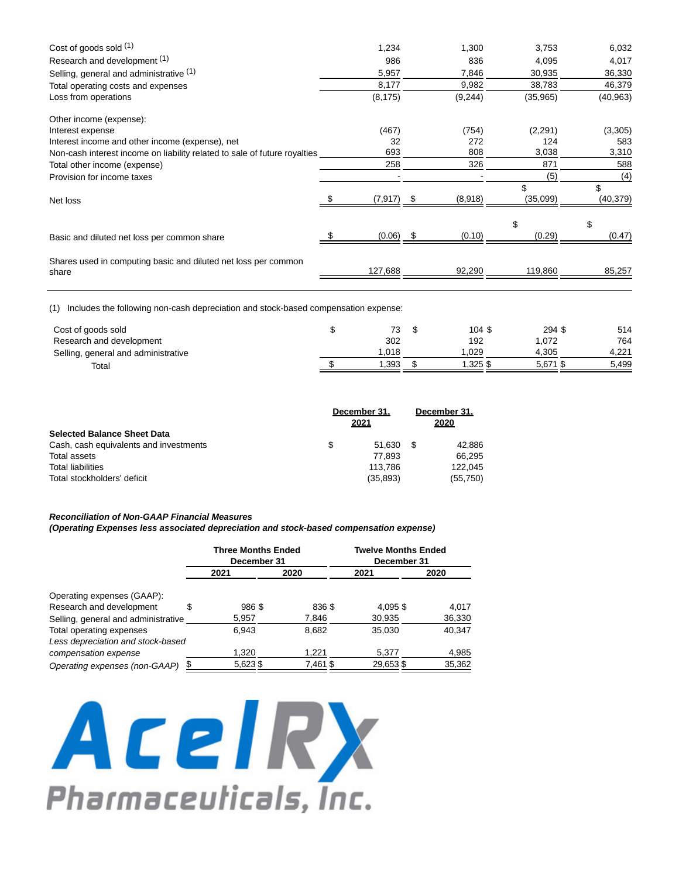| Cost of goods sold $(1)$                                                  | 1,234    |         | 1,300   | 3,753     | 6,032     |  |
|---------------------------------------------------------------------------|----------|---------|---------|-----------|-----------|--|
| Research and development (1)                                              | 986      |         | 836     | 4,095     | 4,017     |  |
| Selling, general and administrative (1)                                   | 5,957    |         | 7,846   | 30,935    | 36,330    |  |
| Total operating costs and expenses                                        | 8,177    |         | 9,982   | 38,783    | 46,379    |  |
| Loss from operations                                                      | (8, 175) | (9,244) |         | (35, 965) | (40, 963) |  |
| Other income (expense):                                                   |          |         |         |           |           |  |
| Interest expense                                                          | (467)    |         | (754)   | (2,291)   | (3,305)   |  |
| Interest income and other income (expense), net                           | 32       |         | 272     | 124       | 583       |  |
| Non-cash interest income on liability related to sale of future royalties | 693      |         | 808     | 3,038     | 3,310     |  |
| Total other income (expense)                                              | 258      |         | 326     | 871       | 588       |  |
| Provision for income taxes                                                |          |         |         | (5)       | (4)       |  |
|                                                                           |          |         |         | \$        | \$        |  |
| Net loss                                                                  | (7,917)  |         | (8,918) | (35,099)  | (40, 379) |  |
|                                                                           |          |         |         | \$        | \$        |  |
| Basic and diluted net loss per common share                               | (0.06)   |         | (0.10)  | (0.29)    | (0.47)    |  |
| Shares used in computing basic and diluted net loss per common            |          |         |         |           |           |  |
| share                                                                     | 127,688  |         | 92,290  | 119,860   | 85,257    |  |
|                                                                           |          |         |         |           |           |  |

(1) Includes the following non-cash depreciation and stock-based compensation expense:

| Cost of goods sold                  | 73    | 104 \$  | 294 \$ | 514   |
|-------------------------------------|-------|---------|--------|-------|
| Research and development            | 302   | 192     | 1,072  | 764   |
| Selling, general and administrative | 1.018 | .029    | 4.305  | 4.221 |
| Total                               | .393  | \$ 325. | 5,671  | 5.499 |

|                                        | December 31. |           |    | December 31. |  |
|----------------------------------------|--------------|-----------|----|--------------|--|
|                                        |              | 2021      |    | 2020         |  |
| <b>Selected Balance Sheet Data</b>     |              |           |    |              |  |
| Cash, cash equivalents and investments | \$           | 51.630    | -S | 42.886       |  |
| Total assets                           |              | 77.893    |    | 66.295       |  |
| <b>Total liabilities</b>               |              | 113.786   |    | 122.045      |  |
| Total stockholders' deficit            |              | (35, 893) |    | (55, 750)    |  |

# **Reconciliation of Non-GAAP Financial Measures**

**(Operating Expenses less associated depreciation and stock-based compensation expense)**

|                                     |   | <b>Three Months Ended</b><br>December 31 |          |  | <b>Twelve Months Ended</b><br>December 31 |        |  |  |
|-------------------------------------|---|------------------------------------------|----------|--|-------------------------------------------|--------|--|--|
|                                     |   | 2021                                     | 2020     |  | 2021                                      | 2020   |  |  |
| Operating expenses (GAAP):          |   |                                          |          |  |                                           |        |  |  |
| Research and development            | S | 986 \$                                   | 836 \$   |  | 4.095 \$                                  | 4.017  |  |  |
| Selling, general and administrative |   | 5,957                                    | 7,846    |  | 30,935                                    | 36,330 |  |  |
| Total operating expenses            |   | 6.943                                    | 8,682    |  | 35.030                                    | 40.347 |  |  |
| Less depreciation and stock-based   |   |                                          |          |  |                                           |        |  |  |
| compensation expense                |   | 1,320                                    | 1,221    |  | 5,377                                     | 4,985  |  |  |
| Operating expenses (non-GAAP)       |   | 5,623 \$                                 | 7,461 \$ |  | 29,653\$                                  | 35,362 |  |  |